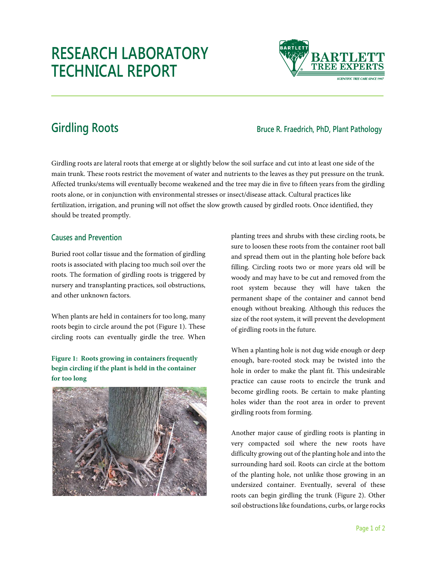# **RESEARCH LABORATORY TECHNICAL REPORT**



## **Girdling Roots Bruce R. Fraedrich, PhD, Plant Pathology**

Girdling roots are lateral roots that emerge at or slightly below the soil surface and cut into at least one side of the main trunk. These roots restrict the movement of water and nutrients to the leaves as they put pressure on the trunk. Affected trunks/stems will eventually become weakened and the tree may die in five to fifteen years from the girdling roots alone, or in conjunction with environmental stresses or insect/disease attack. Cultural practices like fertilization, irrigation, and pruning will not offset the slow growth caused by girdled roots. Once identified, they should be treated promptly.

### **Causes and Prevention**

Buried root collar tissue and the formation of girdling roots is associated with placing too much soil over the roots. The formation of girdling roots is triggered by nursery and transplanting practices, soil obstructions, and other unknown factors.

When plants are held in containers for too long, many roots begin to circle around the pot (Figure 1). These circling roots can eventually girdle the tree. When

#### **Figure 1: Roots growing in containers frequently begin circling if the plant is held in the container for too long**



planting trees and shrubs with these circling roots, be sure to loosen these roots from the container root ball and spread them out in the planting hole before back filling. Circling roots two or more years old will be woody and may have to be cut and removed from the root system because they will have taken the permanent shape of the container and cannot bend enough without breaking. Although this reduces the size of the root system, it will prevent the development of girdling roots in the future.

When a planting hole is not dug wide enough or deep enough, bare-rooted stock may be twisted into the hole in order to make the plant fit. This undesirable practice can cause roots to encircle the trunk and become girdling roots. Be certain to make planting holes wider than the root area in order to prevent girdling roots from forming.

Another major cause of girdling roots is planting in very compacted soil where the new roots have difficulty growing out of the planting hole and into the surrounding hard soil. Roots can circle at the bottom of the planting hole, not unlike those growing in an undersized container. Eventually, several of these roots can begin girdling the trunk (Figure 2). Other soil obstructions like foundations, curbs, or large rocks